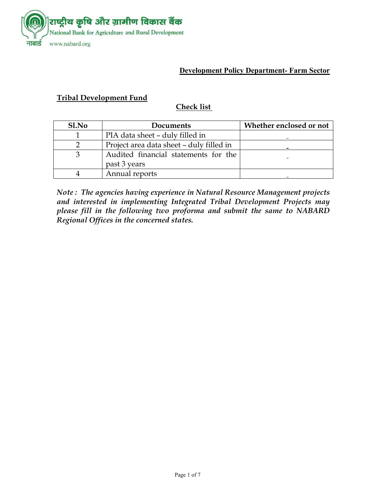

#### **Development Policy Department- Farm Sector**

### **Tribal Development Fund**

#### **Check list**

| Sl.No | <b>Documents</b>                                     | Whether enclosed or not |
|-------|------------------------------------------------------|-------------------------|
|       | PIA data sheet - duly filled in                      |                         |
|       | Project area data sheet – duly filled in             |                         |
|       | Audited financial statements for the<br>past 3 years |                         |
|       | Annual reports                                       |                         |

*Note : The agencies having experience in Natural Resource Management projects and interested in implementing Integrated Tribal Development Projects may please fill in the following two proforma and submit the same to NABARD Regional Offices in the concerned states.*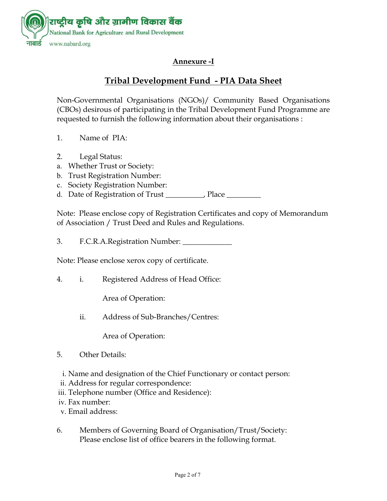

# **Annexure -I**

# **Tribal Development Fund - PIA Data Sheet**

Non-Governmental Organisations (NGOs)/ Community Based Organisations (CBOs) desirous of participating in the Tribal Development Fund Programme are requested to furnish the following information about their organisations :

- 1. Name of PIA:
- 2. Legal Status:
- a. Whether Trust or Society:
- b. Trust Registration Number:
- c. Society Registration Number:

d. Date of Registration of Trust \_\_\_\_\_\_\_\_, Place \_\_\_\_\_\_\_\_

Note: Please enclose copy of Registration Certificates and copy of Memorandum of Association / Trust Deed and Rules and Regulations.

3. F.C.R.A.Registration Number: \_\_\_\_\_\_

Note: Please enclose xerox copy of certificate.

4. i. Registered Address of Head Office:

Area of Operation:

ii. Address of Sub-Branches/Centres:

Area of Operation:

- 5. Other Details:
- i. Name and designation of the Chief Functionary or contact person:
- ii. Address for regular correspondence:
- iii. Telephone number (Office and Residence):
- iv. Fax number:
- v. Email address:
- 6. Members of Governing Board of Organisation/Trust/Society: Please enclose list of office bearers in the following format.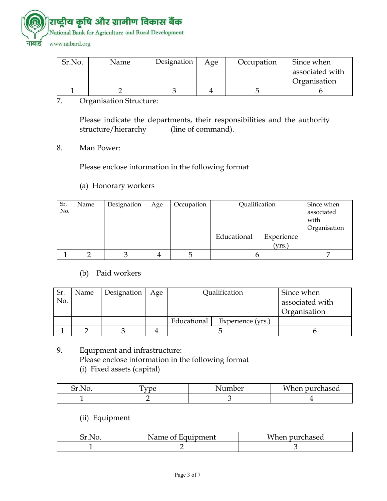

| Sr.No. | Name | Designation | Age | Occupation | Since when      |
|--------|------|-------------|-----|------------|-----------------|
|        |      |             |     |            | associated with |
|        |      |             |     |            | Organisation    |
|        |      |             |     |            |                 |

7. Organisation Structure:

 Please indicate the departments, their responsibilities and the authority structure/hierarchy (line of command).

8. Man Power:

Please enclose information in the following format

#### (a) Honorary workers

| Sr.<br>No. | Name | Designation | Age | Occupation | Qualification |            | Since when<br>associated |
|------------|------|-------------|-----|------------|---------------|------------|--------------------------|
|            |      |             |     |            |               |            | with                     |
|            |      |             |     |            |               |            | Organisation             |
|            |      |             |     |            | Educational   | Experience |                          |
|            |      |             |     |            |               | (vrs.      |                          |
|            |      |             |     |            |               |            |                          |

### (b) Paid workers

| Sr. | Name | Designation | Age | Qualification |                   | Since when      |
|-----|------|-------------|-----|---------------|-------------------|-----------------|
| No. |      |             |     |               |                   | associated with |
|     |      |             |     |               |                   | Organisation    |
|     |      |             |     | Educational   | Experience (yrs.) |                 |
|     |      |             |     |               |                   |                 |

9. Equipment and infrastructure: Please enclose information in the following format (i) Fixed assets (capital)

| ⌒<br>۰<br>N<br>м | ∽<br>$\pi n$ | nber<br>---- | $\cdots$<br>hen purchased<br>v |
|------------------|--------------|--------------|--------------------------------|
|                  |              |              |                                |

#### (ii) Equipment

| Name of Equipment | When purchased |
|-------------------|----------------|
|                   |                |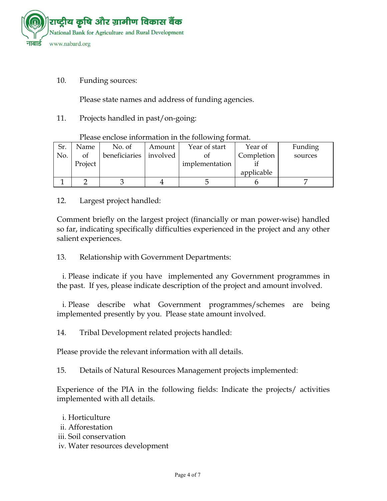

#### 10. Funding sources:

Please state names and address of funding agencies.

11. Projects handled in past/on-going:

| Sr. | Name    | No. of        | Amount   | Year of start  | Year of    | Funding |  |  |  |
|-----|---------|---------------|----------|----------------|------------|---------|--|--|--|
| No. | of      | beneficiaries | involved |                | Completion | sources |  |  |  |
|     | Project |               |          | implementation |            |         |  |  |  |
|     |         |               |          |                | applicable |         |  |  |  |
|     |         |               |          |                |            |         |  |  |  |

Please enclose information in the following format.

### 12. Largest project handled:

Comment briefly on the largest project (financially or man power-wise) handled so far, indicating specifically difficulties experienced in the project and any other salient experiences.

13. Relationship with Government Departments:

i. Please indicate if you have implemented any Government programmes in the past. If yes, please indicate description of the project and amount involved.

i. Please describe what Government programmes/schemes are being implemented presently by you. Please state amount involved.

14. Tribal Development related projects handled:

Please provide the relevant information with all details.

15. Details of Natural Resources Management projects implemented:

Experience of the PIA in the following fields: Indicate the projects/ activities implemented with all details.

- i. Horticulture ii. Afforestation iii. Soil conservation
- iv. Water resources development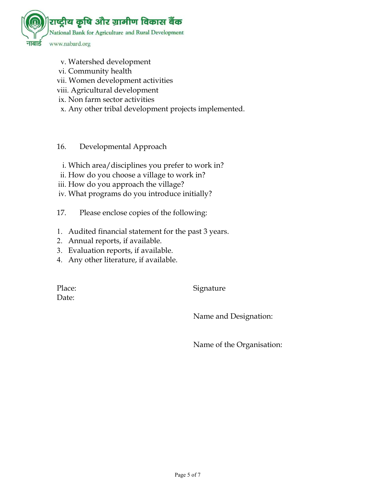

- v. Watershed development
- vi. Community health
- vii. Women development activities
- viii. Agricultural development
- ix. Non farm sector activities
- x. Any other tribal development projects implemented.
- 16. Developmental Approach
- i. Which area/disciplines you prefer to work in?
- ii. How do you choose a village to work in?
- iii. How do you approach the village?
- iv. What programs do you introduce initially?
- 17. Please enclose copies of the following:
- 1. Audited financial statement for the past 3 years.
- 2. Annual reports, if available.
- 3. Evaluation reports, if available.
- 4. Any other literature, if available.

Date:

Place: Signature

Name and Designation:

Name of the Organisation: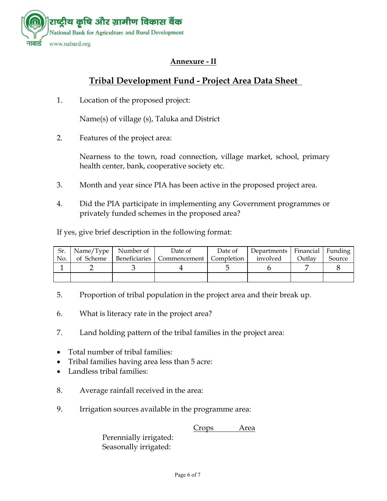

# **Annexure - II**

# **Tribal Development Fund - Project Area Data Sheet**

1. Location of the proposed project:

Name(s) of village (s), Taluka and District

2. Features of the project area:

Nearness to the town, road connection, village market, school, primary health center, bank, cooperative society etc.

- 3. Month and year since PIA has been active in the proposed project area.
- 4. Did the PIA participate in implementing any Government programmes or privately funded schemes in the proposed area?

If yes, give brief description in the following format:

|     | $\vert$ Sr.   Name/Type   Number of | Date of                                   | Date of | Departments   Financial   Funding |        |        |
|-----|-------------------------------------|-------------------------------------------|---------|-----------------------------------|--------|--------|
| No. | of Scheme                           | Beneficiaries   Commencement   Completion |         | involved                          | Outlay | Source |
|     |                                     |                                           |         |                                   |        |        |
|     |                                     |                                           |         |                                   |        |        |

- 5. Proportion of tribal population in the project area and their break up.
- 6. What is literacy rate in the project area?
- 7. Land holding pattern of the tribal families in the project area:
- Total number of tribal families:
- Tribal families having area less than 5 acre:
- Landless tribal families:
- 8. Average rainfall received in the area:
- 9. Irrigation sources available in the programme area:

**Crops** Area

Perennially irrigated: Seasonally irrigated: